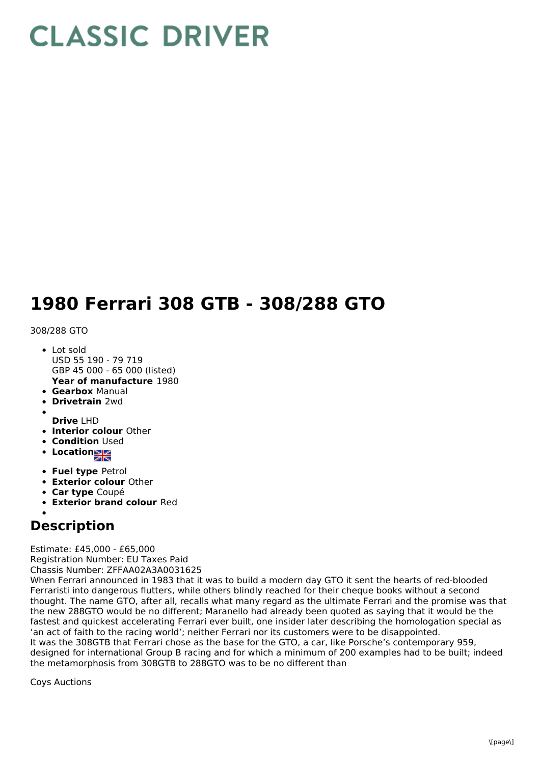## **CLASSIC DRIVER**

## **1980 Ferrari 308 GTB - 308/288 GTO**

## 308/288 GTO

- **Year of manufacture** 1980 Lot sold USD 55 190 - 79 719 GBP 45 000 - 65 000 (listed)
- **Gearbox** Manual
- **Drivetrain** 2wd
- **Drive** LHD
- **Interior colour** Other
- **Condition Used**
- **Location**
- **Fuel type** Petrol
- **Exterior colour** Other
- **Car type** Coupé
- **Exterior brand colour** Red

## **Description**

Estimate: £45,000 - £65,000 Registration Number: EU Taxes Paid Chassis Number: ZFFAA02A3A0031625

When Ferrari announced in 1983 that it was to build a modern day GTO it sent the hearts of red-blooded Ferraristi into dangerous flutters, while others blindly reached for their cheque books without a second thought. The name GTO, after all, recalls what many regard as the ultimate Ferrari and the promise was that the new 288GTO would be no different; Maranello had already been quoted as saying that it would be the fastest and quickest accelerating Ferrari ever built, one insider later describing the homologation special as 'an act of faith to the racing world'; neither Ferrari nor its customers were to be disappointed. It was the 308GTB that Ferrari chose as the base for the GTO, a car, like Porsche's contemporary 959, designed for international Group B racing and for which a minimum of 200 examples had to be built; indeed the metamorphosis from 308GTB to 288GTO was to be no different than

Coys Auctions